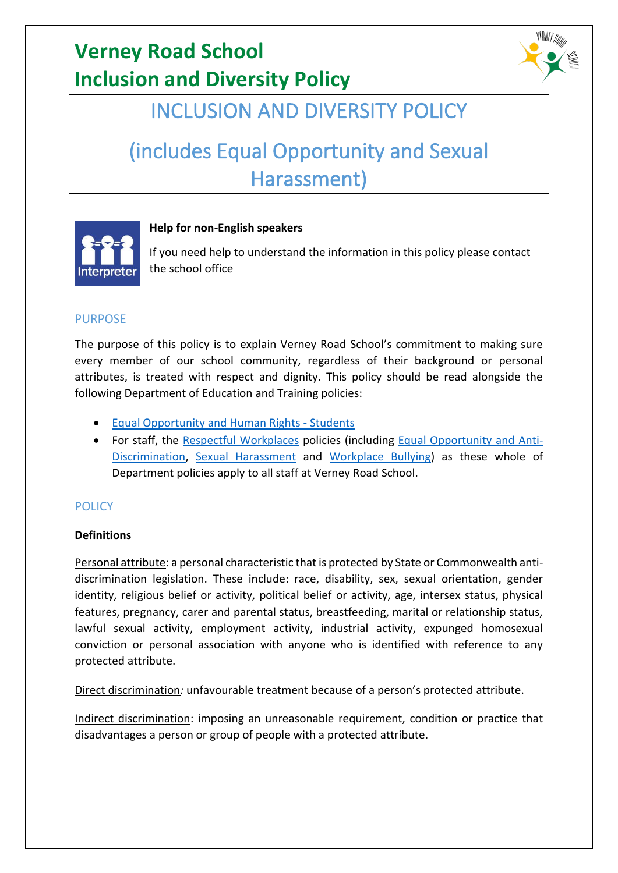

### INCLUSION AND DIVERSITY POLICY

# (includes Equal Opportunity and Sexual Harassment)



### **Help for non-English speakers**

If you need help to understand the information in this policy please contact the school office

### PURPOSE

The purpose of this policy is to explain Verney Road School's commitment to making sure every member of our school community, regardless of their background or personal attributes, is treated with respect and dignity. This policy should be read alongside the following Department of Education and Training policies:

- [Equal Opportunity and Human Rights -](https://www2.education.vic.gov.au/pal/equal-opportunity-human-rights-students/policy) Students
- For staff, the [Respectful Workplaces](https://www2.education.vic.gov.au/pal/respectful-workplaces/overview) policies (including [Equal Opportunity and Anti-](https://www2.education.vic.gov.au/pal/equal-opportunity/overview)[Discrimination,](https://www2.education.vic.gov.au/pal/equal-opportunity/overview) [Sexual Harassment](https://www2.education.vic.gov.au/pal/sexual-harassment/overview) and [Workplace Bullying\)](https://www2.education.vic.gov.au/pal/workplace-bullying/policy) as these whole of Department policies apply to all staff at Verney Road School.

### **POLICY**

#### **Definitions**

Personal attribute: a personal characteristic that is protected by State or Commonwealth antidiscrimination legislation. These include: race, disability, sex, sexual orientation, gender identity, religious belief or activity, political belief or activity, age, intersex status, physical features, pregnancy, carer and parental status, breastfeeding, marital or relationship status, lawful sexual activity, employment activity, industrial activity, expunged homosexual conviction or personal association with anyone who is identified with reference to any protected attribute.

Direct discrimination*:* unfavourable treatment because of a person's protected attribute.

Indirect discrimination: imposing an unreasonable requirement, condition or practice that disadvantages a person or group of people with a protected attribute.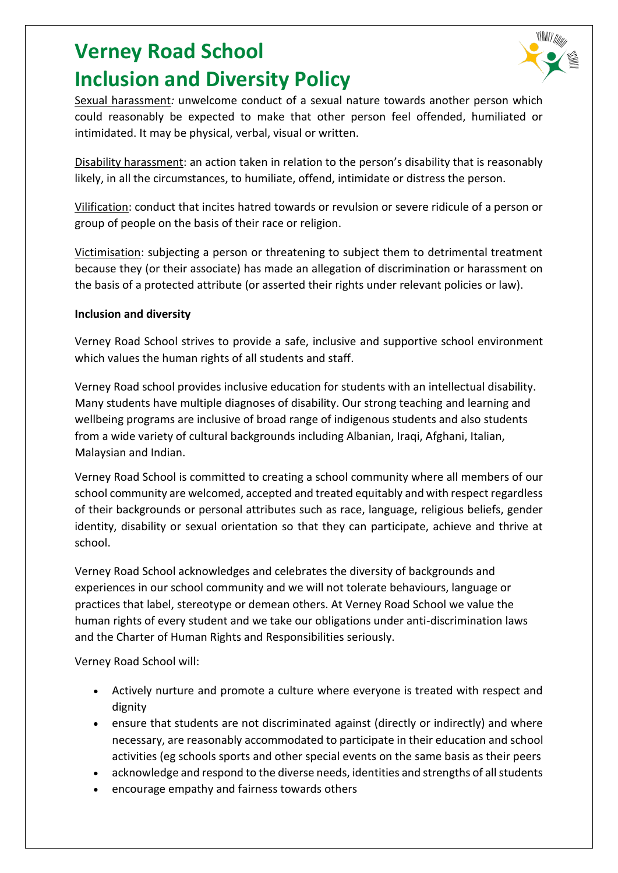

Sexual harassment*:* unwelcome conduct of a sexual nature towards another person which could reasonably be expected to make that other person feel offended, humiliated or intimidated. It may be physical, verbal, visual or written.

Disability harassment: an action taken in relation to the person's disability that is reasonably likely, in all the circumstances, to humiliate, offend, intimidate or distress the person.

Vilification: conduct that incites hatred towards or revulsion or severe ridicule of a person or group of people on the basis of their race or religion.

Victimisation: subjecting a person or threatening to subject them to detrimental treatment because they (or their associate) has made an allegation of discrimination or harassment on the basis of a protected attribute (or asserted their rights under relevant policies or law).

#### **Inclusion and diversity**

Verney Road School strives to provide a safe, inclusive and supportive school environment which values the human rights of all students and staff.

Verney Road school provides inclusive education for students with an intellectual disability. Many students have multiple diagnoses of disability. Our strong teaching and learning and wellbeing programs are inclusive of broad range of indigenous students and also students from a wide variety of cultural backgrounds including Albanian, Iraqi, Afghani, Italian, Malaysian and Indian.

Verney Road School is committed to creating a school community where all members of our school community are welcomed, accepted and treated equitably and with respect regardless of their backgrounds or personal attributes such as race, language, religious beliefs, gender identity, disability or sexual orientation so that they can participate, achieve and thrive at school.

Verney Road School acknowledges and celebrates the diversity of backgrounds and experiences in our school community and we will not tolerate behaviours, language or practices that label, stereotype or demean others. At Verney Road School we value the human rights of every student and we take our obligations under anti-discrimination laws and the Charter of Human Rights and Responsibilities seriously.

Verney Road School will:

- Actively nurture and promote a culture where everyone is treated with respect and dignity
- ensure that students are not discriminated against (directly or indirectly) and where necessary, are reasonably accommodated to participate in their education and school activities (eg schools sports and other special events on the same basis as their peers
- acknowledge and respond to the diverse needs, identities and strengths of all students
- encourage empathy and fairness towards others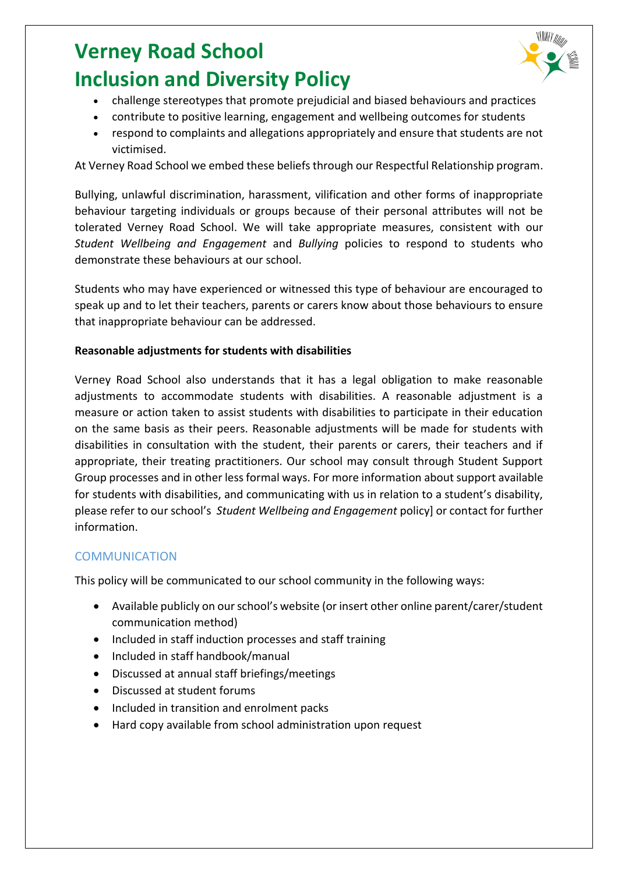

- challenge stereotypes that promote prejudicial and biased behaviours and practices
- contribute to positive learning, engagement and wellbeing outcomes for students
- respond to complaints and allegations appropriately and ensure that students are not victimised.

At Verney Road School we embed these beliefs through our Respectful Relationship program.

Bullying, unlawful discrimination, harassment, vilification and other forms of inappropriate behaviour targeting individuals or groups because of their personal attributes will not be tolerated Verney Road School. We will take appropriate measures, consistent with our *Student Wellbeing and Engagement* and *Bullying* policies to respond to students who demonstrate these behaviours at our school.

Students who may have experienced or witnessed this type of behaviour are encouraged to speak up and to let their teachers, parents or carers know about those behaviours to ensure that inappropriate behaviour can be addressed.

#### **Reasonable adjustments for students with disabilities**

Verney Road School also understands that it has a legal obligation to make reasonable adjustments to accommodate students with disabilities. A reasonable adjustment is a measure or action taken to assist students with disabilities to participate in their education on the same basis as their peers. Reasonable adjustments will be made for students with disabilities in consultation with the student, their parents or carers, their teachers and if appropriate, their treating practitioners. Our school may consult through Student Support Group processes and in other less formal ways. For more information about support available for students with disabilities, and communicating with us in relation to a student's disability, please refer to our school's *Student Wellbeing and Engagement* policy] or contact for further information.

#### **COMMUNICATION**

This policy will be communicated to our school community in the following ways:

- Available publicly on our school's website (or insert other online parent/carer/student communication method)
- Included in staff induction processes and staff training
- Included in staff handbook/manual
- Discussed at annual staff briefings/meetings
- Discussed at student forums
- Included in transition and enrolment packs
- Hard copy available from school administration upon request